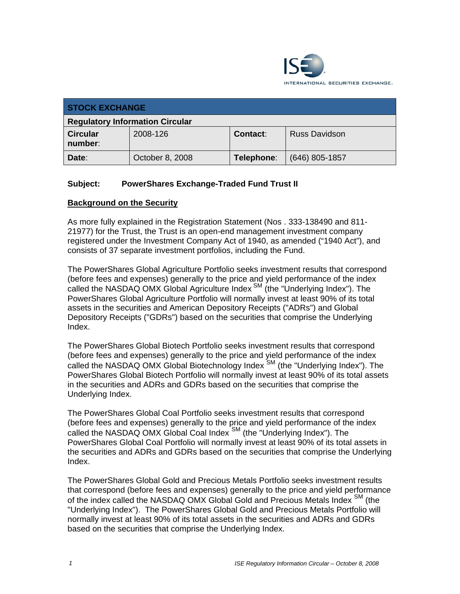

| <b>STOCK EXCHANGE</b>                  |                 |            |                      |
|----------------------------------------|-----------------|------------|----------------------|
| <b>Regulatory Information Circular</b> |                 |            |                      |
| <b>Circular</b><br>number:             | 2008-126        | Contact:   | <b>Russ Davidson</b> |
| Date:                                  | October 8, 2008 | Telephone: | $(646)$ 805-1857     |

# **Subject: PowerShares Exchange-Traded Fund Trust II**

### **Background on the Security**

As more fully explained in the Registration Statement (Nos . 333-138490 and 811- 21977) for the Trust, the Trust is an open-end management investment company registered under the Investment Company Act of 1940, as amended ("1940 Act"), and consists of 37 separate investment portfolios, including the Fund.

The PowerShares Global Agriculture Portfolio seeks investment results that correspond (before fees and expenses) generally to the price and yield performance of the index called the NASDAQ OMX Global Agriculture Index  $\mathbb{S}^M$  (the "Underlying Index"). The PowerShares Global Agriculture Portfolio will normally invest at least 90% of its total assets in the securities and American Depository Receipts ("ADRs") and Global Depository Receipts ("GDRs") based on the securities that comprise the Underlying Index.

The PowerShares Global Biotech Portfolio seeks investment results that correspond (before fees and expenses) generally to the price and yield performance of the index called the NASDAQ OMX Global Biotechnology Index<sup>SM</sup> (the "Underlying Index"). The PowerShares Global Biotech Portfolio will normally invest at least 90% of its total assets in the securities and ADRs and GDRs based on the securities that comprise the Underlying Index.

The PowerShares Global Coal Portfolio seeks investment results that correspond (before fees and expenses) generally to the price and yield performance of the index called the NASDAQ OMX Global Coal Index SM (the "Underlying Index"). The PowerShares Global Coal Portfolio will normally invest at least 90% of its total assets in the securities and ADRs and GDRs based on the securities that comprise the Underlying Index.

The PowerShares Global Gold and Precious Metals Portfolio seeks investment results that correspond (before fees and expenses) generally to the price and yield performance of the index called the NASDAQ OMX Global Gold and Precious Metals Index <sup>SM</sup> (the "Underlying Index"). The PowerShares Global Gold and Precious Metals Portfolio will normally invest at least 90% of its total assets in the securities and ADRs and GDRs based on the securities that comprise the Underlying Index.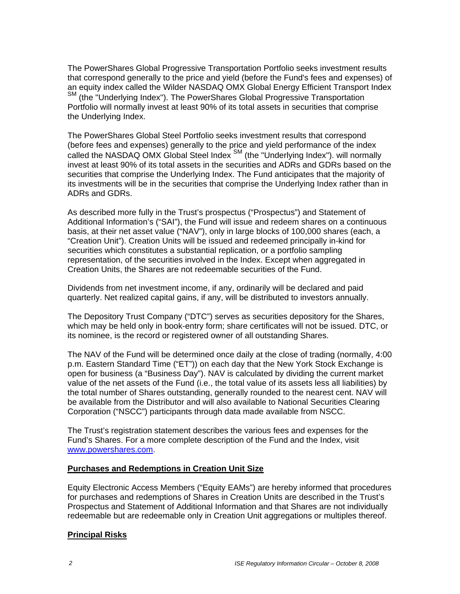The PowerShares Global Progressive Transportation Portfolio seeks investment results that correspond generally to the price and yield (before the Fund's fees and expenses) of an equity index called the Wilder NASDAQ OMX Global Energy Efficient Transport Index SM (the "Underlying Index"). The PowerShares Global Progressive Transportation Portfolio will normally invest at least 90% of its total assets in securities that comprise the Underlying Index.

The PowerShares Global Steel Portfolio seeks investment results that correspond (before fees and expenses) generally to the price and yield performance of the index called the NASDAQ OMX Global Steel Index SM (the "Underlying Index"). will normally invest at least 90% of its total assets in the securities and ADRs and GDRs based on the securities that comprise the Underlying Index. The Fund anticipates that the majority of its investments will be in the securities that comprise the Underlying Index rather than in ADRs and GDRs.

As described more fully in the Trust's prospectus ("Prospectus") and Statement of Additional Information's ("SAI"), the Fund will issue and redeem shares on a continuous basis, at their net asset value ("NAV"), only in large blocks of 100,000 shares (each, a "Creation Unit"). Creation Units will be issued and redeemed principally in-kind for securities which constitutes a substantial replication, or a portfolio sampling representation, of the securities involved in the Index. Except when aggregated in Creation Units, the Shares are not redeemable securities of the Fund.

Dividends from net investment income, if any, ordinarily will be declared and paid quarterly. Net realized capital gains, if any, will be distributed to investors annually.

The Depository Trust Company ("DTC") serves as securities depository for the Shares, which may be held only in book-entry form; share certificates will not be issued. DTC, or its nominee, is the record or registered owner of all outstanding Shares.

The NAV of the Fund will be determined once daily at the close of trading (normally, 4:00 p.m. Eastern Standard Time ("ET")) on each day that the New York Stock Exchange is open for business (a "Business Day"). NAV is calculated by dividing the current market value of the net assets of the Fund (i.e., the total value of its assets less all liabilities) by the total number of Shares outstanding, generally rounded to the nearest cent. NAV will be available from the Distributor and will also available to National Securities Clearing Corporation ("NSCC") participants through data made available from NSCC.

The Trust's registration statement describes the various fees and expenses for the Fund's Shares. For a more complete description of the Fund and the Index, visit www.powershares.com.

## **Purchases and Redemptions in Creation Unit Size**

Equity Electronic Access Members ("Equity EAMs") are hereby informed that procedures for purchases and redemptions of Shares in Creation Units are described in the Trust's Prospectus and Statement of Additional Information and that Shares are not individually redeemable but are redeemable only in Creation Unit aggregations or multiples thereof.

## **Principal Risks**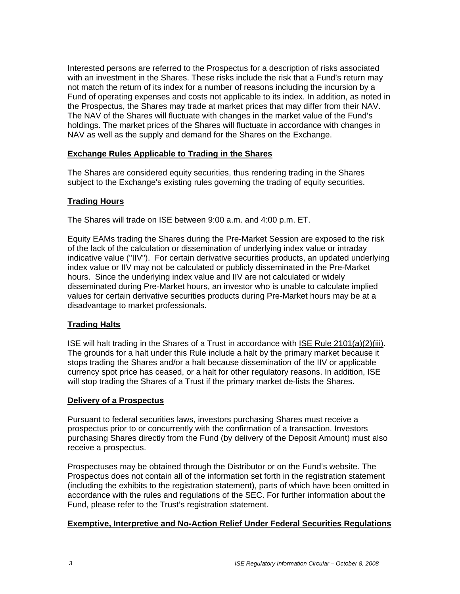Interested persons are referred to the Prospectus for a description of risks associated with an investment in the Shares. These risks include the risk that a Fund's return may not match the return of its index for a number of reasons including the incursion by a Fund of operating expenses and costs not applicable to its index. In addition, as noted in the Prospectus, the Shares may trade at market prices that may differ from their NAV. The NAV of the Shares will fluctuate with changes in the market value of the Fund's holdings. The market prices of the Shares will fluctuate in accordance with changes in NAV as well as the supply and demand for the Shares on the Exchange.

## **Exchange Rules Applicable to Trading in the Shares**

The Shares are considered equity securities, thus rendering trading in the Shares subject to the Exchange's existing rules governing the trading of equity securities.

### **Trading Hours**

The Shares will trade on ISE between 9:00 a.m. and 4:00 p.m. ET.

Equity EAMs trading the Shares during the Pre-Market Session are exposed to the risk of the lack of the calculation or dissemination of underlying index value or intraday indicative value ("IIV"). For certain derivative securities products, an updated underlying index value or IIV may not be calculated or publicly disseminated in the Pre-Market hours. Since the underlying index value and IIV are not calculated or widely disseminated during Pre-Market hours, an investor who is unable to calculate implied values for certain derivative securities products during Pre-Market hours may be at a disadvantage to market professionals.

#### **Trading Halts**

ISE will halt trading in the Shares of a Trust in accordance with ISE Rule 2101(a)(2)(iii). The grounds for a halt under this Rule include a halt by the primary market because it stops trading the Shares and/or a halt because dissemination of the IIV or applicable currency spot price has ceased, or a halt for other regulatory reasons. In addition, ISE will stop trading the Shares of a Trust if the primary market de-lists the Shares.

#### **Delivery of a Prospectus**

Pursuant to federal securities laws, investors purchasing Shares must receive a prospectus prior to or concurrently with the confirmation of a transaction. Investors purchasing Shares directly from the Fund (by delivery of the Deposit Amount) must also receive a prospectus.

Prospectuses may be obtained through the Distributor or on the Fund's website. The Prospectus does not contain all of the information set forth in the registration statement (including the exhibits to the registration statement), parts of which have been omitted in accordance with the rules and regulations of the SEC. For further information about the Fund, please refer to the Trust's registration statement.

#### **Exemptive, Interpretive and No-Action Relief Under Federal Securities Regulations**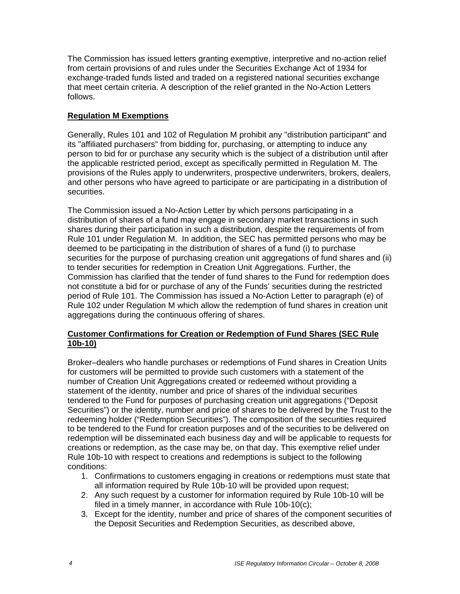The Commission has issued letters granting exemptive, interpretive and no-action relief from certain provisions of and rules under the Securities Exchange Act of 1934 for exchange-traded funds listed and traded on a registered national securities exchange that meet certain criteria. A description of the relief granted in the No-Action Letters follows.

# **Regulation M Exemptions**

Generally, Rules 101 and 102 of Regulation M prohibit any "distribution participant" and its "affiliated purchasers" from bidding for, purchasing, or attempting to induce any person to bid for or purchase any security which is the subject of a distribution until after the applicable restricted period, except as specifically permitted in Regulation M. The provisions of the Rules apply to underwriters, prospective underwriters, brokers, dealers, and other persons who have agreed to participate or are participating in a distribution of securities.

The Commission issued a No-Action Letter by which persons participating in a distribution of shares of a fund may engage in secondary market transactions in such shares during their participation in such a distribution, despite the requirements of from Rule 101 under Regulation M. In addition, the SEC has permitted persons who may be deemed to be participating in the distribution of shares of a fund (i) to purchase securities for the purpose of purchasing creation unit aggregations of fund shares and (ii) to tender securities for redemption in Creation Unit Aggregations. Further, the Commission has clarified that the tender of fund shares to the Fund for redemption does not constitute a bid for or purchase of any of the Funds' securities during the restricted period of Rule 101. The Commission has issued a No-Action Letter to paragraph (e) of Rule 102 under Regulation M which allow the redemption of fund shares in creation unit aggregations during the continuous offering of shares.

# **Customer Confirmations for Creation or Redemption of Fund Shares (SEC Rule 10b-10)**

Broker–dealers who handle purchases or redemptions of Fund shares in Creation Units for customers will be permitted to provide such customers with a statement of the number of Creation Unit Aggregations created or redeemed without providing a statement of the identity, number and price of shares of the individual securities tendered to the Fund for purposes of purchasing creation unit aggregations ("Deposit Securities") or the identity, number and price of shares to be delivered by the Trust to the redeeming holder ("Redemption Securities"). The composition of the securities required to be tendered to the Fund for creation purposes and of the securities to be delivered on redemption will be disseminated each business day and will be applicable to requests for creations or redemption, as the case may be, on that day. This exemptive relief under Rule 10b-10 with respect to creations and redemptions is subject to the following conditions:

- 1. Confirmations to customers engaging in creations or redemptions must state that all information required by Rule 10b-10 will be provided upon request;
- 2. Any such request by a customer for information required by Rule 10b-10 will be filed in a timely manner, in accordance with Rule 10b-10(c);
- 3. Except for the identity, number and price of shares of the component securities of the Deposit Securities and Redemption Securities, as described above,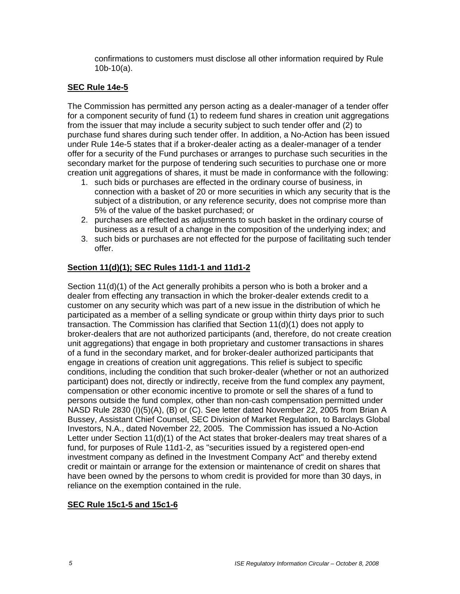confirmations to customers must disclose all other information required by Rule 10b-10(a).

## **SEC Rule 14e-5**

The Commission has permitted any person acting as a dealer-manager of a tender offer for a component security of fund (1) to redeem fund shares in creation unit aggregations from the issuer that may include a security subject to such tender offer and (2) to purchase fund shares during such tender offer. In addition, a No-Action has been issued under Rule 14e-5 states that if a broker-dealer acting as a dealer-manager of a tender offer for a security of the Fund purchases or arranges to purchase such securities in the secondary market for the purpose of tendering such securities to purchase one or more creation unit aggregations of shares, it must be made in conformance with the following:

- 1. such bids or purchases are effected in the ordinary course of business, in connection with a basket of 20 or more securities in which any security that is the subject of a distribution, or any reference security, does not comprise more than 5% of the value of the basket purchased; or
- 2. purchases are effected as adjustments to such basket in the ordinary course of business as a result of a change in the composition of the underlying index; and
- 3. such bids or purchases are not effected for the purpose of facilitating such tender offer.

### **Section 11(d)(1); SEC Rules 11d1-1 and 11d1-2**

Section 11(d)(1) of the Act generally prohibits a person who is both a broker and a dealer from effecting any transaction in which the broker-dealer extends credit to a customer on any security which was part of a new issue in the distribution of which he participated as a member of a selling syndicate or group within thirty days prior to such transaction. The Commission has clarified that Section 11(d)(1) does not apply to broker-dealers that are not authorized participants (and, therefore, do not create creation unit aggregations) that engage in both proprietary and customer transactions in shares of a fund in the secondary market, and for broker-dealer authorized participants that engage in creations of creation unit aggregations. This relief is subject to specific conditions, including the condition that such broker-dealer (whether or not an authorized participant) does not, directly or indirectly, receive from the fund complex any payment, compensation or other economic incentive to promote or sell the shares of a fund to persons outside the fund complex, other than non-cash compensation permitted under NASD Rule 2830 (I)(5)(A), (B) or (C). See letter dated November 22, 2005 from Brian A Bussey, Assistant Chief Counsel, SEC Division of Market Regulation, to Barclays Global Investors, N.A., dated November 22, 2005. The Commission has issued a No-Action Letter under Section 11(d)(1) of the Act states that broker-dealers may treat shares of a fund, for purposes of Rule 11d1-2, as "securities issued by a registered open-end investment company as defined in the Investment Company Act" and thereby extend credit or maintain or arrange for the extension or maintenance of credit on shares that have been owned by the persons to whom credit is provided for more than 30 days, in reliance on the exemption contained in the rule.

#### **SEC Rule 15c1-5 and 15c1-6**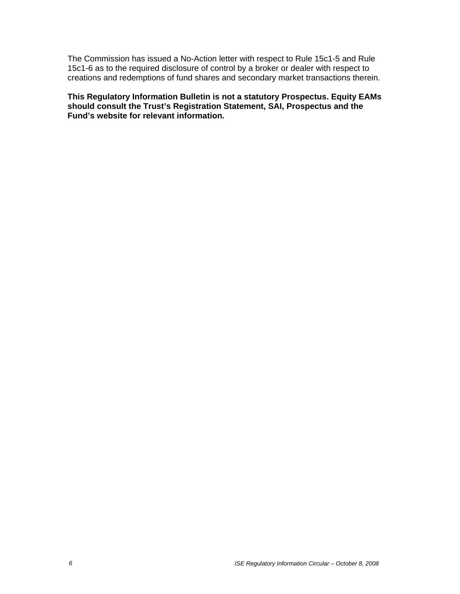The Commission has issued a No-Action letter with respect to Rule 15c1-5 and Rule 15c1-6 as to the required disclosure of control by a broker or dealer with respect to creations and redemptions of fund shares and secondary market transactions therein.

**This Regulatory Information Bulletin is not a statutory Prospectus. Equity EAMs should consult the Trust's Registration Statement, SAI, Prospectus and the Fund's website for relevant information.**